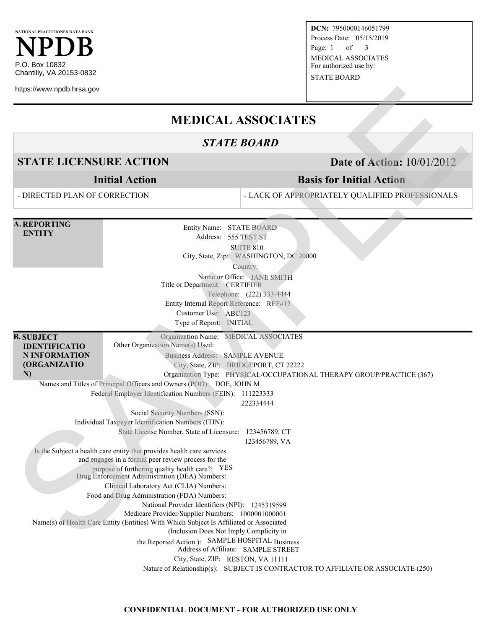

https://www.npdb.hrsa.gov

**DCN:** 7950000146051799 Process Date: 05/15/2019 Page: 1 of 3 MEDICAL ASSOCIATES For authorized use by:

STATE BOARD

# **MEDICAL ASSOCIATES**

# *STATE BOARD*

**STATE LICENSURE ACTION Date of Action:** 10/01/2012

**Initial Action**

- DIRECTED PLAN OF CORRECTION

## **Basis for Initial Action**

- LACK OF APPROPRIATELY QUALIFIED PROFESSIONALS

**A. REPORTING ENTITY** Entity Name: STATE BOARD Address: 555 TEST ST SUITE 810 City, State, Zip: WASHINGTON, DC 20000 Country: Name or Office: JANE SMITH Title or Department: CERTIFIER Telephone: (222) 333-4444 Entity Internal Report Reference: REF#12 Customer Use: ABC123 Type of Report: INITIAL **B. SUBJECT IDENTIFICATIO N INFORMATION (ORGANIZATIO N)** Organization Name: MEDICAL ASSOCIATES Other Organization Name(s) Used: Business Address: SAMPLE AVENUE City, State, ZIP: BRIDGEPORT, CT 22222 Organization Type: PHYSICAL/OCCUPATIONAL THERAPY GROUP/PRACTICE (367) Names and Titles of Principal Officers and Owners (POO): DOE, JOHN M Federal Employer Identification Numbers (FEIN): 111223333 222334444 Social Security Numbers (SSN): Individual Taxpayer Identification Numbers (ITIN): State License Number, State of Licensure: 123456789, CT 123456789, VA Is the Subject a health care entity that provides health care services and engages in a formal peer review process for the purpose of furthering quality health care?: YES Drug Enforcement Administration (DEA) Numbers: Clinical Laboratory Act (CLIA) Numbers: Food and Drug Administration (FDA) Numbers: National Provider Identifiers (NPI): 1245319599 Medicare Provider/Supplier Numbers: 1000001000001 Name(s) of Health Care Entity (Entities) With Which Subject Is Affiliated or Associated (Inclusion Does Not Imply Complicity in the Reported Action.): SAMPLE HOSPITAL Business Address of Affiliate: SAMPLE STREET City, State, ZIP: RESTON, VA 11111 Nature of Relationship(s): SUBJECT IS CONTRACTOR TO AFFILIATE OR ASSOCIATE (250) **STATE LICENSURE ACTION**<br>
STATE ILOGENERE ACTION<br>
STATE ILOGENERE ACTION<br>
Initial Action<br>
- DRECTED PLAN OF CORRECTION<br>
- DRECTED PLAN OF CORRECTION<br>
- DRECTED PLAN OF CORRECTION<br>
- NARROWSTENG<br>
SERVICIPY THE MANUS TRANSP

#### **CONFIDENTIAL DOCUMENT - FOR AUTHORIZED USE ONLY**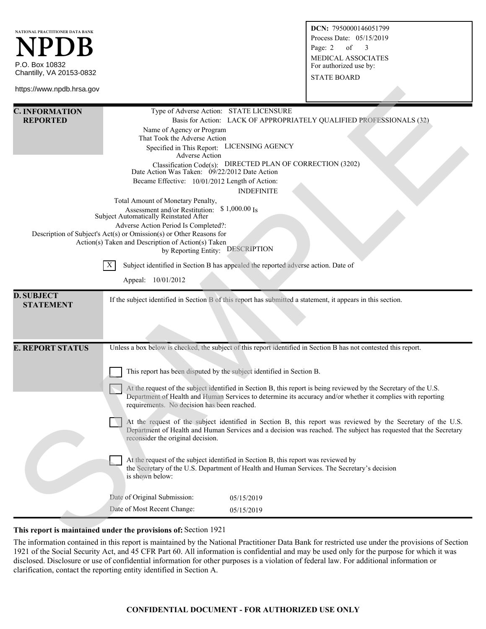| NATIONAL PRACTITIONER DATA BANK                                                                                                             |                                                                                                                                                                                                                                  |                                                                                                                 | DCN: 7950000146051799                                                                                                                            |  |
|---------------------------------------------------------------------------------------------------------------------------------------------|----------------------------------------------------------------------------------------------------------------------------------------------------------------------------------------------------------------------------------|-----------------------------------------------------------------------------------------------------------------|--------------------------------------------------------------------------------------------------------------------------------------------------|--|
|                                                                                                                                             |                                                                                                                                                                                                                                  | Process Date: 05/15/2019                                                                                        |                                                                                                                                                  |  |
| NPDB                                                                                                                                        |                                                                                                                                                                                                                                  |                                                                                                                 | Page: 2<br>of<br>3                                                                                                                               |  |
|                                                                                                                                             |                                                                                                                                                                                                                                  |                                                                                                                 | <b>MEDICAL ASSOCIATES</b>                                                                                                                        |  |
| P.O. Box 10832                                                                                                                              |                                                                                                                                                                                                                                  |                                                                                                                 | For authorized use by:                                                                                                                           |  |
| Chantilly, VA 20153-0832                                                                                                                    |                                                                                                                                                                                                                                  |                                                                                                                 | <b>STATE BOARD</b>                                                                                                                               |  |
| https://www.npdb.hrsa.gov                                                                                                                   |                                                                                                                                                                                                                                  |                                                                                                                 |                                                                                                                                                  |  |
| <b>C. INFORMATION</b><br><b>REPORTED</b>                                                                                                    |                                                                                                                                                                                                                                  | Type of Adverse Action: STATE LICENSURE<br>Basis for Action: LACK OF APPROPRIATELY QUALIFIED PROFESSIONALS (32) |                                                                                                                                                  |  |
|                                                                                                                                             | Name of Agency or Program                                                                                                                                                                                                        |                                                                                                                 |                                                                                                                                                  |  |
|                                                                                                                                             | That Took the Adverse Action                                                                                                                                                                                                     |                                                                                                                 |                                                                                                                                                  |  |
|                                                                                                                                             | Specified in This Report: LICENSING AGENCY                                                                                                                                                                                       |                                                                                                                 |                                                                                                                                                  |  |
|                                                                                                                                             | Adverse Action<br>Classification Code(s): DIRECTED PLAN OF CORRECTION (3202)                                                                                                                                                     |                                                                                                                 |                                                                                                                                                  |  |
|                                                                                                                                             | Date Action Was Taken: 09/22/2012 Date Action                                                                                                                                                                                    |                                                                                                                 |                                                                                                                                                  |  |
|                                                                                                                                             | Became Effective: 10/01/2012 Length of Action:                                                                                                                                                                                   |                                                                                                                 |                                                                                                                                                  |  |
| <b>INDEFINITE</b>                                                                                                                           |                                                                                                                                                                                                                                  |                                                                                                                 |                                                                                                                                                  |  |
| Total Amount of Monetary Penalty,                                                                                                           |                                                                                                                                                                                                                                  |                                                                                                                 |                                                                                                                                                  |  |
| ${\rm Assessment~and/or~Restritation:~~$1,000.00~Is}$ Subject Automatically Reinstated After                                                |                                                                                                                                                                                                                                  |                                                                                                                 |                                                                                                                                                  |  |
| Adverse Action Period Is Completed?:                                                                                                        |                                                                                                                                                                                                                                  |                                                                                                                 |                                                                                                                                                  |  |
| Description of Subject's Act(s) or Omission(s) or Other Reasons for                                                                         |                                                                                                                                                                                                                                  |                                                                                                                 |                                                                                                                                                  |  |
| Action(s) Taken and Description of Action(s) Taken<br>by Reporting Entity: DESCRIPTION                                                      |                                                                                                                                                                                                                                  |                                                                                                                 |                                                                                                                                                  |  |
| Subject identified in Section B has appealed the reported adverse action. Date of<br>X                                                      |                                                                                                                                                                                                                                  |                                                                                                                 |                                                                                                                                                  |  |
|                                                                                                                                             |                                                                                                                                                                                                                                  |                                                                                                                 |                                                                                                                                                  |  |
| Appeal: 10/01/2012                                                                                                                          |                                                                                                                                                                                                                                  |                                                                                                                 |                                                                                                                                                  |  |
| <b>D. SUBJECT</b><br><b>STATEMENT</b>                                                                                                       | If the subject identified in Section B of this report has submitted a statement, it appears in this section.                                                                                                                     |                                                                                                                 |                                                                                                                                                  |  |
|                                                                                                                                             |                                                                                                                                                                                                                                  |                                                                                                                 |                                                                                                                                                  |  |
|                                                                                                                                             |                                                                                                                                                                                                                                  |                                                                                                                 |                                                                                                                                                  |  |
|                                                                                                                                             |                                                                                                                                                                                                                                  |                                                                                                                 |                                                                                                                                                  |  |
| <b>E. REPORT STATUS</b><br>Unless a box below is checked, the subject of this report identified in Section B has not contested this report. |                                                                                                                                                                                                                                  |                                                                                                                 |                                                                                                                                                  |  |
|                                                                                                                                             | This report has been disputed by the subject identified in Section B.                                                                                                                                                            |                                                                                                                 |                                                                                                                                                  |  |
|                                                                                                                                             |                                                                                                                                                                                                                                  |                                                                                                                 |                                                                                                                                                  |  |
|                                                                                                                                             | At the request of the subject identified in Section B, this report is being reviewed by the Secretary of the U.S.<br>Department of Health and Human Services to determine its accuracy and/or whether it complies with reporting |                                                                                                                 |                                                                                                                                                  |  |
| requirements. No decision has been reached.                                                                                                 |                                                                                                                                                                                                                                  |                                                                                                                 |                                                                                                                                                  |  |
| At the request of the subject identified in Section B, this report was reviewed by the Secretary of the U.S.                                |                                                                                                                                                                                                                                  |                                                                                                                 |                                                                                                                                                  |  |
|                                                                                                                                             | Department of Health and Human Services and a decision was reached. The subject has requested that the Secretary                                                                                                                 |                                                                                                                 |                                                                                                                                                  |  |
|                                                                                                                                             | reconsider the original decision.                                                                                                                                                                                                |                                                                                                                 |                                                                                                                                                  |  |
|                                                                                                                                             |                                                                                                                                                                                                                                  |                                                                                                                 |                                                                                                                                                  |  |
|                                                                                                                                             | At the request of the subject identified in Section B, this report was reviewed by                                                                                                                                               |                                                                                                                 |                                                                                                                                                  |  |
|                                                                                                                                             | the Secretary of the U.S. Department of Health and Human Services. The Secretary's decision<br>is shown below:                                                                                                                   |                                                                                                                 |                                                                                                                                                  |  |
|                                                                                                                                             |                                                                                                                                                                                                                                  |                                                                                                                 |                                                                                                                                                  |  |
|                                                                                                                                             | Date of Original Submission:                                                                                                                                                                                                     | 05/15/2019                                                                                                      |                                                                                                                                                  |  |
|                                                                                                                                             | Date of Most Recent Change:                                                                                                                                                                                                      | 05/15/2019                                                                                                      |                                                                                                                                                  |  |
|                                                                                                                                             |                                                                                                                                                                                                                                  |                                                                                                                 |                                                                                                                                                  |  |
|                                                                                                                                             | This report is maintained under the provisions of: Section 1921                                                                                                                                                                  |                                                                                                                 |                                                                                                                                                  |  |
|                                                                                                                                             |                                                                                                                                                                                                                                  |                                                                                                                 | The information contained in this report is maintained by the National Practitioner Data Rapk for restricted use under the provisions of Section |  |

### **This report is maintained under the provisions of:** Section 1921

The information contained in this report is maintained by the National Practitioner Data Bank for restricted use under the provisions of Section 1921 of the Social Security Act, and 45 CFR Part 60. All information is confidential and may be used only for the purpose for which it was disclosed. Disclosure or use of confidential information for other purposes is a violation of federal law. For additional information or clarification, contact the reporting entity identified in Section A.